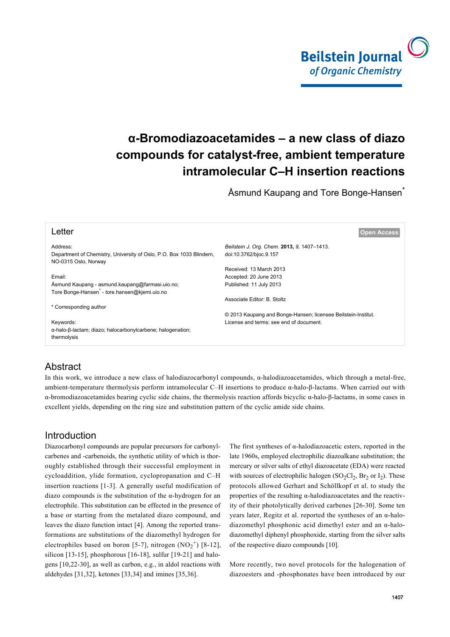

# **α-Bromodiazoacetamides – a new class of diazo compounds for catalyst-free, ambient temperature intramolecular C–H insertion reactions**

Åsmund Kaupang and Tore Bonge-Hansen<sup>\*</sup>

| Letter                                                                                       | l Open Access                                                 |
|----------------------------------------------------------------------------------------------|---------------------------------------------------------------|
| Address:                                                                                     | Beilstein J. Org. Chem. 2013, 9, 1407-1413.                   |
| Department of Chemistry, University of Oslo, P.O. Box 1033 Blindern,<br>NO-0315 Oslo, Norway | doi:10.3762/bjoc.9.157                                        |
|                                                                                              | Received: 13 March 2013                                       |
| Email:                                                                                       | Accepted: 20 June 2013                                        |
| Asmund Kaupang - asmund kaupang@farmasi.uio.no;                                              | Published: 11 July 2013                                       |
| Tore Bonge-Hansen <sup>*</sup> - tore.hansen@kjemi.uio.no                                    |                                                               |
|                                                                                              | Associate Editor: B. Stoltz                                   |
| * Corresponding author                                                                       |                                                               |
|                                                                                              | © 2013 Kaupang and Bonge-Hansen; licensee Beilstein-Institut. |
| Keywords:                                                                                    | License and terms: see end of document.                       |
| α-halo-β-lactam; diazo; halocarbonylcarbene; halogenation;                                   |                                                               |
| thermolysis                                                                                  |                                                               |
|                                                                                              |                                                               |

# Abstract

In this work, we introduce a new class of halodiazocarbonyl compounds, α-halodiazoacetamides, which through a metal-free, ambient-temperature thermolysis perform intramolecular C–H insertions to produce α-halo-β-lactams. When carried out with α-bromodiazoacetamides bearing cyclic side chains, the thermolysis reaction affords bicyclic α-halo-β-lactams, in some cases in excellent yields, depending on the ring size and substitution pattern of the cyclic amide side chains.

## Introduction

Diazocarbonyl compounds are popular precursors for carbonylcarbenes and -carbenoids, the synthetic utility of which is thoroughly established through their successful employment in cycloaddition, ylide formation, cyclopropanation and C–H insertion reactions [\[1-3\]](#page-4-0). A generally useful modification of diazo compounds is the substitution of the  $\alpha$ -hydrogen for an electrophile. This substitution can be effected in the presence of a base or starting from the metalated diazo compound, and leaves the diazo function intact [\[4\]](#page-4-1). Among the reported transformations are substitutions of the diazomethyl hydrogen for electrophiles based on boron [\[5-7\],](#page-4-2) nitrogen  $(NO<sub>2</sub><sup>+</sup>)$  [\[8-12\]](#page-4-3), silicon [\[13-15\]](#page-4-4), phosphorous [\[16-18\]](#page-5-0), sulfur [\[19-21\]](#page-5-1) and halogens [\[10,22-30\],](#page-4-5) as well as carbon, e.g., in aldol reactions with aldehydes [\[31,32\]](#page-5-2), ketones [\[33,34\]](#page-5-3) and imines [\[35,36\]](#page-5-4).

The first syntheses of  $\alpha$ -halodiazoacetic esters, reported in the late 1960s, employed electrophilic diazoalkane substitution; the mercury or silver salts of ethyl diazoacetate (EDA) were reacted with sources of electrophilic halogen  $(SO_2Cl_2, Br_2 \text{ or } I_2)$ . These protocols allowed Gerhart and Schöllkopf et al. to study the properties of the resulting α-halodiazoacetates and the reactivity of their photolytically derived carbenes [\[26-30\]](#page-5-5). Some ten years later, Regitz et al. reported the syntheses of an α-halodiazomethyl phosphonic acid dimethyl ester and an α-halodiazomethyl diphenyl phosphoxide, starting from the silver salts of the respective diazo compounds [\[10\]](#page-4-5).

More recently, two novel protocols for the halogenation of diazoesters and -phosphonates have been introduced by our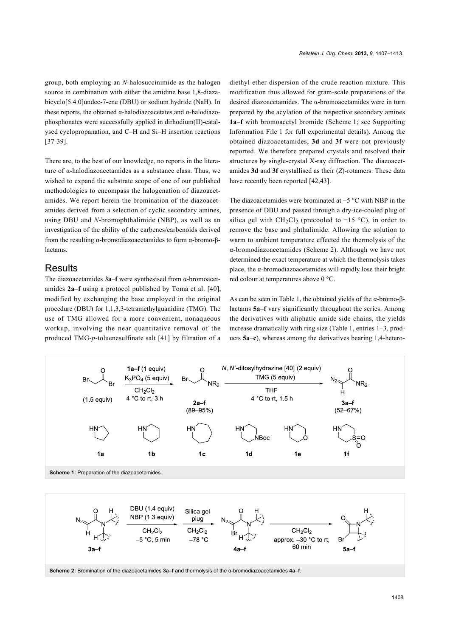group, both employing an *N*-halosuccinimide as the halogen source in combination with either the amidine base 1,8-diazabicyclo[5.4.0]undec-7-ene (DBU) or sodium hydride (NaH). In these reports, the obtained α-halodiazoacetates and α-halodiazophosphonates were successfully applied in dirhodium(II)-catalysed cyclopropanation, and C–H and Si–H insertion reactions [\[37-39\]](#page-5-6).

There are, to the best of our knowledge, no reports in the literature of α-halodiazoacetamides as a substance class. Thus, we wished to expand the substrate scope of one of our published methodologies to encompass the halogenation of diazoacetamides. We report herein the bromination of the diazoacetamides derived from a selection of cyclic secondary amines, using DBU and *N*-bromophthalimide (NBP), as well as an investigation of the ability of the carbenes/carbenoids derived from the resulting α-bromodiazoacetamides to form α-bromo-βlactams.

### **Results**

The diazoacetamides **3a**–**f** were synthesised from α-bromoacetamides **2a**–**f** using a protocol published by Toma et al. [\[40\]](#page-5-7), modified by exchanging the base employed in the original procedure (DBU) for 1,1,3,3-tetramethylguanidine (TMG). The use of TMG allowed for a more convenient, nonaqueous workup, involving the near quantitative removal of the produced TMG-*p*-toluenesulfinate salt [\[41\]](#page-5-8) by filtration of a

diethyl ether dispersion of the crude reaction mixture. This modification thus allowed for gram-scale preparations of the desired diazoacetamides. The α-bromoacetamides were in turn prepared by the acylation of the respective secondary amines **1a**–**f** with bromoacetyl bromide ([Scheme 1](#page-1-0); see [Supporting](#page-4-6) [Information File 1](#page-4-6) for full experimental details). Among the obtained diazoacetamides, **3d** and **3f** were not previously reported. We therefore prepared crystals and resolved their structures by single-crystal X-ray diffraction. The diazoacetamides **3d** and **3f** crystallised as their (*Z*)-rotamers. These data have recently been reported [\[42,43\]](#page-5-9).

The diazoacetamides were brominated at −5 °C with NBP in the presence of DBU and passed through a dry-ice-cooled plug of silica gel with CH<sub>2</sub>Cl<sub>2</sub> (precooled to  $-15$  °C), in order to remove the base and phthalimide. Allowing the solution to warm to ambient temperature effected the thermolysis of the α-bromodiazoacetamides ([Scheme 2\)](#page-1-1). Although we have not determined the exact temperature at which the thermolysis takes place, the α-bromodiazoacetamides will rapidly lose their bright red colour at temperatures above 0 °C.

As can be seen in [Table 1](#page-2-0), the obtained yields of the α-bromo-βlactams **5a**–**f** vary significantly throughout the series. Among the derivatives with aliphatic amide side chains, the yields increase dramatically with ring size ([Table 1](#page-2-0), entries 1–3, products **5a**–**c**), whereas among the derivatives bearing 1,4-hetero-

<span id="page-1-1"></span><span id="page-1-0"></span>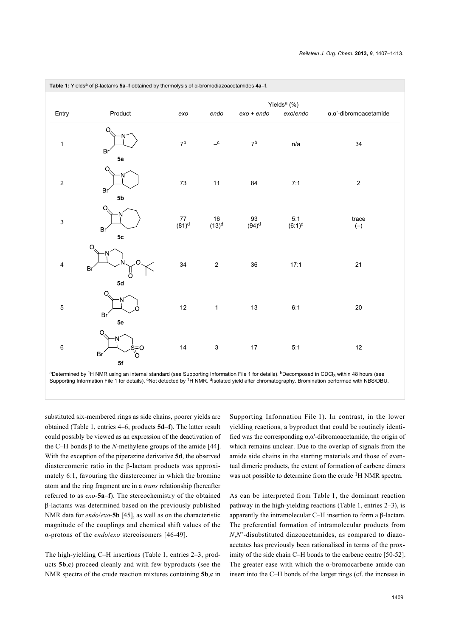| <b>Table 1:</b> Yields <sup>a</sup> of B-lactams 5a–f obtained by thermolysis of d-bromodiazoacetamides 4a–f. |                                             |                           |                                                            |                  |                             |                                     |
|---------------------------------------------------------------------------------------------------------------|---------------------------------------------|---------------------------|------------------------------------------------------------|------------------|-----------------------------|-------------------------------------|
|                                                                                                               |                                             | Yields <sup>a</sup> (%)   |                                                            |                  |                             |                                     |
| Entry                                                                                                         | Product                                     | exo                       | endo                                                       | $exo + endo$     | exo/endo                    | $\alpha, \alpha'$ -dibromoacetamide |
| $\mathbf{1}$                                                                                                  | $\circ$<br>N<br>Br<br>5a                    | $7^{\rm b}$               | $\mathord{\hspace{1pt}\text{--}\hspace{1pt}}^{\mathtt{c}}$ | 7 <sup>b</sup>   | n/a                         | 34                                  |
| $\mathbf 2$                                                                                                   | Q<br>N<br>Br <sup>'</sup><br>5 <sub>b</sub> | $\bf 73$                  | $11$                                                       | 84               | 7:1                         | $\boldsymbol{2}$                    |
| 3                                                                                                             | O<br>N<br>Br<br>5 <sub>c</sub>              | $77$<br>(81) <sup>d</sup> | $16$<br>(13) <sup>d</sup>                                  | $^{93}_{(94)^d}$ | $5:1$<br>(6:1) <sup>d</sup> | trace<br>$(-)$                      |
| 4                                                                                                             | $\circ$<br>N<br>∩<br>Br'<br>ő<br>5d         | 34                        | $\overline{c}$                                             | 36               | 17:1                        | 21                                  |
| $\mathbf 5$                                                                                                   | O<br>N<br>n<br>Br <sup>1</sup><br>5e        | 12                        | $\mathbf{1}$                                               | 13               | 6:1                         | 20                                  |
| 6                                                                                                             | Ω<br>N<br>s=o<br>°o<br>Br'<br>5f            | 14                        | $\ensuremath{\mathsf{3}}$                                  | $17\,$           | 5:1                         | $12 \overline{ }$                   |

<span id="page-2-0"></span>**Table 1:** Yields<sup>a</sup> of β-lactams **5a**–**f** obtained by thermolysis of α-bromodiazoacetamides **4a**–**f**.

aDetermined by <sup>1</sup>H NMR using an internal standard (see [Supporting Information File 1](#page-4-6) for details). <sup>b</sup>Decomposed in CDCl<sub>3</sub> within 48 hours (see [Supporting Information File 1](#page-4-6) for details). <sup>c</sup>Not detected by <sup>1</sup>H NMR. <sup>d</sup>Isolated yield after chromatography. Bromination performed with NBS/DBU.

substituted six-membered rings as side chains, poorer yields are obtained [\(Table 1](#page-2-0), entries 4–6, products **5d**–**f**). The latter result could possibly be viewed as an expression of the deactivation of the C–H bonds β to the *N*-methylene groups of the amide [\[44\]](#page-5-10). With the exception of the piperazine derivative **5d**, the observed diastereomeric ratio in the β-lactam products was approximately 6:1, favouring the diastereomer in which the bromine atom and the ring fragment are in a *trans* relationship (hereafter referred to as *exo*-**5a**–**f**). The stereochemistry of the obtained β-lactams was determined based on the previously published NMR data for *endo*/*exo*-**5b** [\[45\],](#page-5-11) as well as on the characteristic magnitude of the couplings and chemical shift values of the α-protons of the *endo*/*exo* stereoisomers [\[46-49\]](#page-5-12).

The high-yielding C–H insertions ([Table 1,](#page-2-0) entries 2–3, products **5b**,**c**) proceed cleanly and with few byproducts (see the NMR spectra of the crude reaction mixtures containing **5b**,**c** in

[Supporting Information File 1\)](#page-4-6). In contrast, in the lower yielding reactions, a byproduct that could be routinely identified was the corresponding  $\alpha, \alpha'$ -dibromoacetamide, the origin of which remains unclear. Due to the overlap of signals from the amide side chains in the starting materials and those of eventual dimeric products, the extent of formation of carbene dimers was not possible to determine from the crude <sup>1</sup>H NMR spectra.

As can be interpreted from [Table 1](#page-2-0), the dominant reaction pathway in the high-yielding reactions [\(Table 1,](#page-2-0) entries 2–3), is apparently the intramolecular C–H insertion to form a β-lactam. The preferential formation of intramolecular products from *N*,*N*'-disubstituted diazoacetamides, as compared to diazoacetates has previously been rationalised in terms of the proximity of the side chain C–H bonds to the carbene centre [\[50-52\]](#page-5-13). The greater ease with which the  $\alpha$ -bromocarbene amide can insert into the C–H bonds of the larger rings (cf. the increase in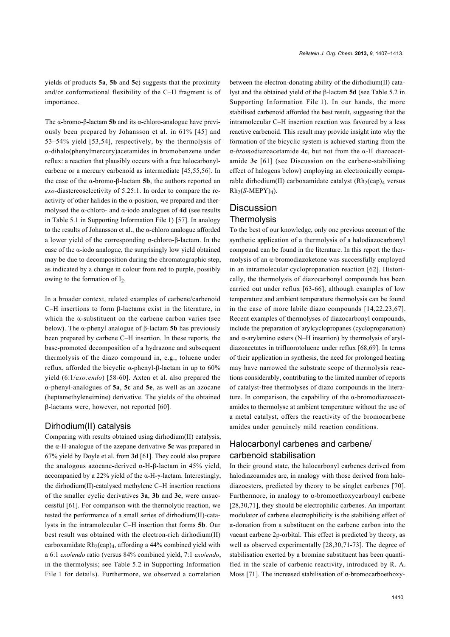yields of products **5a**, **5b** and **5c**) suggests that the proximity and/or conformational flexibility of the C–H fragment is of importance.

The α-bromo-β-lactam **5b** and its α-chloro-analogue have previously been prepared by Johansson et al. in 61% [\[45\]](#page-5-11) and 53–54% yield [\[53,54\]](#page-5-14), respectively, by the thermolysis of α-dihalo(phenylmercury)acetamides in bromobenzene under reflux: a reaction that plausibly occurs with a free halocarbonylcarbene or a mercury carbenoid as intermediate [\[45,55,56\].](#page-5-11) In the case of the α-bromo-β-lactam **5b**, the authors reported an *exo-*diastereoselectivity of 5.25:1. In order to compare the reactivity of other halides in the  $\alpha$ -position, we prepared and thermolysed the α-chloro- and α-iodo analogues of **4d** (see results in Table 5.1 in [Supporting Information File 1\)](#page-4-6) [\[57\]](#page-5-15). In analogy to the results of Johansson et al., the α-chloro analogue afforded a lower yield of the corresponding α-chloro-β-lactam. In the case of the  $\alpha$ -iodo analogue, the surprisingly low yield obtained may be due to decomposition during the chromatographic step, as indicated by a change in colour from red to purple, possibly owing to the formation of  $I_2$ .

In a broader context, related examples of carbene/carbenoid C–H insertions to form β-lactams exist in the literature, in which the α-substituent on the carbene carbon varies (see below). The α-phenyl analogue of β-lactam **5b** has previously been prepared by carbene C–H insertion. In these reports, the base-promoted decomposition of a hydrazone and subsequent thermolysis of the diazo compound in, e.g., toluene under reflux, afforded the bicyclic α-phenyl-β-lactam in up to 60% yield (6:1/*exo:endo*) [\[58-60\]](#page-5-16). Axten et al. also prepared the α-phenyl-analogues of **5a**, **5c** and **5e**, as well as an azocane (heptamethyleneimine) derivative. The yields of the obtained β-lactams were, however, not reported [\[60\].](#page-5-17)

#### Dirhodium(II) catalysis

Comparing with results obtained using dirhodium(II) catalysis, the α-H-analogue of the azepane derivative **5c** was prepared in 67% yield by Doyle et al. from **3d** [\[61\]](#page-5-18). They could also prepare the analogous azocane-derived α-H-β-lactam in 45% yield, accompanied by a 22% yield of the  $\alpha$ -H- $\gamma$ -lactam. Interestingly, the dirhodium(II)-catalysed methylene C–H insertion reactions of the smaller cyclic derivatives **3a**, **3b** and **3e**, were unsuccessful [\[61\].](#page-5-18) For comparison with the thermolytic reaction, we tested the performance of a small series of dirhodium(II)-catalysts in the intramolecular C–H insertion that forms **5b**. Our best result was obtained with the electron-rich dirhodium(II) carboxamidate Rh<sub>2</sub>(cap)<sub>4</sub>, affording a 44% combined yield with a 6:1 *exo*/*endo* ratio (versus 84% combined yield, 7:1 *exo*/*endo*, in the thermolysis; see Table 5.2 in [Supporting Information](#page-4-6) [File 1](#page-4-6) for details). Furthermore, we observed a correlation

between the electron-donating ability of the dirhodium(II) catalyst and the obtained yield of the β-lactam **5d** (see Table 5.2 in [Supporting Information File 1](#page-4-6)). In our hands, the more stabilised carbenoid afforded the best result, suggesting that the intramolecular C–H insertion reaction was favoured by a less reactive carbenoid. This result may provide insight into why the formation of the bicyclic system is achieved starting from the α-*bromo*diazoacetamide **4c**, but not from the α-H diazoacetamide **3c** [\[61\]](#page-5-18) (see Discussion on the carbene-stabilising effect of halogens below) employing an electronically comparable dirhodium(II) carboxamidate catalyst  $(Rh_2(cap)<sub>4</sub>$  versus  $Rh<sub>2</sub>(S-MEPY)<sub>4</sub>$ ).

## **Discussion Thermolysis**

To the best of our knowledge, only one previous account of the synthetic application of a thermolysis of a halodiazocarbonyl compound can be found in the literature. In this report the thermolysis of an α-bromodiazoketone was successfully employed in an intramolecular cyclopropanation reaction [\[62\].](#page-5-19) Historically, the thermolysis of diazocarbonyl compounds has been carried out under reflux [\[63-66\],](#page-5-20) although examples of low temperature and ambient temperature thermolysis can be found in the case of more labile diazo compounds [\[14,22,23,67\]](#page-4-7). Recent examples of thermolyses of diazocarbonyl compounds, include the preparation of arylcyclopropanes (cyclopropanation) and α-arylamino esters (N–H insertion) by thermolysis of aryldiazoacetates in trifluorotoluene under reflux [\[68,69\]](#page-6-0). In terms of their application in synthesis, the need for prolonged heating may have narrowed the substrate scope of thermolysis reactions considerably, contributing to the limited number of reports of catalyst-free thermolyses of diazo compounds in the literature. In comparison, the capability of the α-bromodiazoacetamides to thermolyse at ambient temperature without the use of a metal catalyst, offers the reactivity of the bromocarbene amides under genuinely mild reaction conditions.

## Halocarbonyl carbenes and carbene/ carbenoid stabilisation

In their ground state, the halocarbonyl carbenes derived from halodiazoamides are, in analogy with those derived from halodiazoesters, predicted by theory to be singlet carbenes [\[70\]](#page-6-1). Furthermore, in analogy to α-bromoethoxycarbonyl carbene [\[28,30,71\],](#page-5-21) they should be electrophilic carbenes. An important modulator of carbene electrophilicity is the stabilising effect of π-donation from a substituent on the carbene carbon into the vacant carbene 2p-orbital. This effect is predicted by theory, as well as observed experimentally [\[28,30,71-73\]](#page-5-21). The degree of stabilisation exerted by a bromine substituent has been quantified in the scale of carbenic reactivity, introduced by R. A. Moss [\[71\].](#page-6-2) The increased stabilisation of  $\alpha$ -bromocarboethoxy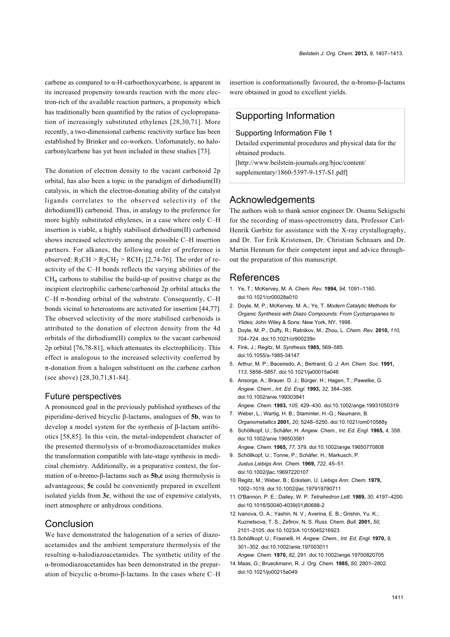carbene as compared to α-H-carboethoxycarbene, is apparent in its increased propensity towards reaction with the more electron-rich of the available reaction partners, a propensity which has traditionally been quantified by the ratios of cyclopropanation of increasingly substituted ethylenes [\[28,30,71\]](#page-5-21). More recently, a two-dimensional carbenic reactivity surface has been established by Brinker and co-workers. Unfortunately, no halocarbonylcarbene has yet been included in these studies [\[73\]](#page-6-3).

The donation of electron density to the vacant carbenoid 2p orbital, has also been a topic in the paradigm of dirhodium(II) catalysis, in which the electron-donating ability of the catalyst ligands correlates to the observed selectivity of the dirhodium(II) carbenoid. Thus, in analogy to the preference for more highly substituted ethylenes, in a case where only C–H insertion is viable, a highly stabilised dirhodium(II) carbenoid shows increased selectivity among the possible C–H insertion partners. For alkanes, the following order of preference is observed:  $R_3CH > R_2CH_2 > RCH_3$  [\[2,74-76\]](#page-4-8). The order of reactivity of the C–H bonds reflects the varying abilities of the  $CH<sub>n</sub>$  carbons to stabilise the build-up of positive charge as the incipient electrophilic carbene/carbenoid 2p orbital attacks the C–H σ-bonding orbital of the substrate. Consequently, C–H bonds vicinal to heteroatoms are activated for insertion [\[44,77\]](#page-5-10). The observed selectivity of the more stabilised carbenoids is attributed to the donation of electron density from the 4d orbitals of the dirhodium(II) complex to the vacant carbenoid 2p orbital [\[76,78-81\]](#page-6-4), which attenuates its electrophilicity. This effect is analogous to the increased selectivity conferred by π-donation from a halogen substituent on the carbene carbon (see above) [\[28,30,71,81-84\]](#page-5-21).

#### Future perspectives

A pronounced goal in the previously published syntheses of the piperidine-derived bicyclic β-lactams, analogues of **5b**, was to develop a model system for the synthesis of β-lactam antibiotics [\[58,85\]](#page-5-16). In this vein, the metal-independent character of the presented thermolysis of α-bromodiazoacetamides makes the transformation compatible with late-stage synthesis in medicinal chemistry. Additionally, in a preparative context, the formation of α-bromo-β-lactams such as **5b,c** using thermolysis is advantageous; **5c** could be conveniently prepared in excellent isolated yields from **3c**, without the use of expensive catalysts, inert atmosphere or anhydrous conditions.

### **Conclusion**

We have demonstrated the halogenation of a series of diazoacetamides and the ambient temperature thermolysis of the resulting α-halodiazoacetamides. The synthetic utility of the α-bromodiazoacetamides has been demonstrated in the preparation of bicyclic α-bromo-β-lactams. In the cases where C–H insertion is conformationally favoured, the α-bromo-β-lactams were obtained in good to excellent yields.

# Supporting Information

#### <span id="page-4-6"></span>Supporting Information File 1

Detailed experimental procedures and physical data for the obtained products.

[\[http://www.beilstein-journals.org/bjoc/content/](http://www.beilstein-journals.org/bjoc/content/supplementary/1860-5397-9-157-S1.pdf) [supplementary/1860-5397-9-157-S1.pdf\]](http://www.beilstein-journals.org/bjoc/content/supplementary/1860-5397-9-157-S1.pdf)

### Acknowledgements

The authors wish to thank senior engineer Dr. Osamu Sekiguchi for the recording of mass-spectrometry data, Professor Carl-Henrik Gørbitz for assistance with the X-ray crystallography, and Dr. Tor Erik Kristensen, Dr. Christian Schnaars and Dr. Martin Hennum for their competent input and advice throughout the preparation of this manuscript.

### References

- <span id="page-4-0"></span>1. Ye, T.; McKervey, M. A. *Chem. Rev.* **1994,** *94,* 1091–1160. [doi:10.1021/cr00028a010](http://dx.doi.org/10.1021%2Fcr00028a010)
- <span id="page-4-8"></span>2. Doyle, M. P.; McKervey, M. A.; Ye, T. *Modern Catalytic Methods for Organic Synthesis with Diazo Compounds: From Cyclopropanes to Ylides;* John Wiley & Sons: New York, NY, 1998.
- 3. Doyle, M. P.; Duffy, R.; Ratnikov, M.; Zhou, L. *Chem. Rev.* **2010,** *110,* 704–724. [doi:10.1021/cr900239n](http://dx.doi.org/10.1021%2Fcr900239n)
- <span id="page-4-1"></span>4. Fink, J.; Regitz, M. *Synthesis* **1985,** 569–585. [doi:10.1055/s-1985-34147](http://dx.doi.org/10.1055%2Fs-1985-34147)
- <span id="page-4-2"></span>5. Arthur, M. P.; Baceiredo, A.; Bertrand, G. *J. Am. Chem. Soc.* **1991,** *113,* 5856–5857. [doi:10.1021/ja00015a046](http://dx.doi.org/10.1021%2Fja00015a046)
- 6. Ansorge, A.; Brauer, D. J.; Bürger, H.; Hagen, T.; Pawelke, G. *Angew. Chem., Int. Ed. Engl.* **1993,** *32,* 384–385. [doi:10.1002/anie.199303841](http://dx.doi.org/10.1002%2Fanie.199303841) *Angew. Chem.* **1993,** *105,* 429–430. [doi:10.1002/ange.19931050319](http://dx.doi.org/10.1002%2Fange.19931050319)
- 7. Weber, L.; Wartig, H. B.; Stammler, H.-G.; Neumann, B. *Organometallics* **2001,** *20,* 5248–5250. [doi:10.1021/om010588y](http://dx.doi.org/10.1021%2Fom010588y)
- <span id="page-4-3"></span>8. Schöllkopf, U.; Schäfer, H. *Angew. Chem., Int. Ed. Engl.* **1965,** *4,* 358. [doi:10.1002/anie.196503581](http://dx.doi.org/10.1002%2Fanie.196503581) *Angew. Chem.* **1965,** *77,* 379. [doi:10.1002/ange.19650770808](http://dx.doi.org/10.1002%2Fange.19650770808)
- 9. Schöllkopf, U.; Tonne, P.; Schäfer, H.; Markusch, P. *Justus Liebigs Ann. Chem.* **1969,** *722,* 45–51. [doi:10.1002/jlac.19697220107](http://dx.doi.org/10.1002%2Fjlac.19697220107)
- <span id="page-4-5"></span>10. Regitz, M.; Weber, B.; Eckstein, U. *Liebigs Ann. Chem.* **1979,** 1002–1019. [doi:10.1002/jlac.197919790711](http://dx.doi.org/10.1002%2Fjlac.197919790711)
- 11.O'Bannon, P. E.; Dailey, W. P. *Tetrahedron Lett.* **1989,** *30,* 4197–4200. [doi:10.1016/S0040-4039\(01\)80688-2](http://dx.doi.org/10.1016%2FS0040-4039%2801%2980688-2)
- 12. Ivanova, O. A.; Yashin, N. V.; Averina, E. B.; Grishin, Yu. K.; Kuznetsova, T. S.; Zefirov, N. S. *Russ. Chem. Bull.* **2001,** *50,* 2101–2105. [doi:10.1023/A:1015045216923](http://dx.doi.org/10.1023%2FA%3A1015045216923)
- <span id="page-4-4"></span>13.Schöllkopf, U.; Frasnelli, H. *Angew. Chem., Int. Ed. Engl.* **1970,** *9,* 301–302. [doi:10.1002/anie.197003011](http://dx.doi.org/10.1002%2Fanie.197003011) *Angew. Chem.* **1970,** *82,* 291. [doi:10.1002/ange.19700820705](http://dx.doi.org/10.1002%2Fange.19700820705)
- <span id="page-4-7"></span>14. Maas, G.; Brueckmann, R. *J. Org. Chem.* **1985,** *50,* 2801–2802. [doi:10.1021/jo00215a049](http://dx.doi.org/10.1021%2Fjo00215a049)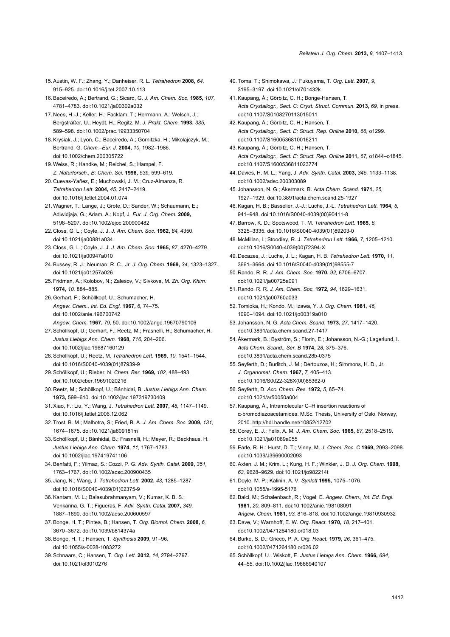- 15.Austin, W. F.; Zhang, Y.; Danheiser, R. L. *Tetrahedron* **2008,** *64,* 915–925. [doi:10.1016/j.tet.2007.10.113](http://dx.doi.org/10.1016%2Fj.tet.2007.10.113)
- <span id="page-5-0"></span>16.Baceiredo, A.; Bertrand, G.; Sicard, G. *J. Am. Chem. Soc.* **1985,** *107,* 4781–4783. [doi:10.1021/ja00302a032](http://dx.doi.org/10.1021%2Fja00302a032)
- 17. Nees, H.-J.; Keller, H.; Facklam, T.; Herrmann, A.; Welsch, J.; Bergsträßer, U.; Heydt, H.; Regitz, M. *J. Prakt. Chem.* **1993,** *335,* 589–598. [doi:10.1002/prac.19933350704](http://dx.doi.org/10.1002%2Fprac.19933350704)
- 18.Krysiak, J.; Lyon, C.; Baceiredo, A.; Gornitzka, H.; Mikolajczyk, M.; Bertrand, G. *Chem.–Eur. J.* **2004,** *10,* 1982–1986. [doi:10.1002/chem.200305722](http://dx.doi.org/10.1002%2Fchem.200305722)
- <span id="page-5-1"></span>19. Weiss, R.; Handke, M.; Reichel, S.; Hampel, F. *Z. Naturforsch., B: Chem. Sci.* **1998,** *53b,* 599–619.
- 20. Cuevas-Yañez, E.; Muchowski, J. M.; Cruz-Almanza, R. *Tetrahedron Lett.* **2004,** *45,* 2417–2419. [doi:10.1016/j.tetlet.2004.01.074](http://dx.doi.org/10.1016%2Fj.tetlet.2004.01.074)
- 21.Wagner, T.; Lange, J.; Grote, D.; Sander, W.; Schaumann, E.; Adiwidjaja, G.; Adam, A.; Kopf, J. *Eur. J. Org. Chem.* **2009,** 5198–5207. [doi:10.1002/ejoc.200900482](http://dx.doi.org/10.1002%2Fejoc.200900482)
- 22. Closs, G. L.; Coyle, J. J. *J. Am. Chem. Soc.* **1962,** *84,* 4350. [doi:10.1021/ja00881a034](http://dx.doi.org/10.1021%2Fja00881a034)
- 23. Closs, G. L.; Coyle, J. J. *J. Am. Chem. Soc.* **1965,** *87,* 4270–4279. [doi:10.1021/ja00947a010](http://dx.doi.org/10.1021%2Fja00947a010)
- 24.Bussey, R. J.; Neuman, R. C., Jr. *J. Org. Chem.* **1969,** *34,* 1323–1327. [doi:10.1021/jo01257a026](http://dx.doi.org/10.1021%2Fjo01257a026)
- 25.Fridman, A.; Kolobov, N.; Zalesov, V.; Sivkova, M. *Zh. Org. Khim.* **1974,** *10,* 884–885.
- <span id="page-5-5"></span>26.Gerhart, F.; Schöllkopf, U.; Schumacher, H. *Angew. Chem., Int. Ed. Engl.* **1967,** *6,* 74–75. [doi:10.1002/anie.196700742](http://dx.doi.org/10.1002%2Fanie.196700742) *Angew. Chem.* **1967,** *79,* 50. [doi:10.1002/ange.19670790106](http://dx.doi.org/10.1002%2Fange.19670790106)
- 27.Schöllkopf, U.; Gerhart, F.; Reetz, M.; Frasnelli, H.; Schumacher, H. *Justus Liebigs Ann. Chem.* **1968,** *716,* 204–206. [doi:10.1002/jlac.19687160129](http://dx.doi.org/10.1002%2Fjlac.19687160129)
- <span id="page-5-21"></span>28.Schöllkopf, U.; Reetz, M. *Tetrahedron Lett.* **1969,** *10,* 1541–1544. [doi:10.1016/S0040-4039\(01\)87939-9](http://dx.doi.org/10.1016%2FS0040-4039%2801%2987939-9)
- 29.Schöllkopf, U.; Rieber, N. *Chem. Ber.* **1969,** *102,* 488–493. [doi:10.1002/cber.19691020216](http://dx.doi.org/10.1002%2Fcber.19691020216)
- 30. Reetz, M.; Schöllkopf, U.; Bánhidai, B. *Justus Liebigs Ann. Chem.* **1973,** 599–610. [doi:10.1002/jlac.197319730409](http://dx.doi.org/10.1002%2Fjlac.197319730409)
- <span id="page-5-2"></span>31.Xiao, F.; Liu, Y.; Wang, J. *Tetrahedron Lett.* **2007,** *48,* 1147–1149. [doi:10.1016/j.tetlet.2006.12.062](http://dx.doi.org/10.1016%2Fj.tetlet.2006.12.062)
- 32.Trost, B. M.; Malhotra, S.; Fried, B. A. *J. Am. Chem. Soc.* **2009,** *131,* 1674–1675. [doi:10.1021/ja809181m](http://dx.doi.org/10.1021%2Fja809181m)
- <span id="page-5-3"></span>33.Schöllkopf, U.; Bánhidai, B.; Frasnelli, H.; Meyer, R.; Beckhaus, H. *Justus Liebigs Ann. Chem.* **1974,** *11,* 1767–1783. [doi:10.1002/jlac.197419741106](http://dx.doi.org/10.1002%2Fjlac.197419741106)
- 34.Benfatti, F.; Yilmaz, S.; Cozzi, P. G. *Adv. Synth. Catal.* **2009,** *351,* 1763–1767. [doi:10.1002/adsc.200900435](http://dx.doi.org/10.1002%2Fadsc.200900435)
- <span id="page-5-4"></span>35. Jiang, N.; Wang, J. *Tetrahedron Lett.* **2002,** *43,* 1285–1287. [doi:10.1016/S0040-4039\(01\)02375-9](http://dx.doi.org/10.1016%2FS0040-4039%2801%2902375-9)
- 36.Kantam, M. L.; Balasubrahmanyam, V.; Kumar, K. B. S.; Venkanna, G. T.; Figueras, F. *Adv. Synth. Catal.* **2007,** *349,* 1887–1890. [doi:10.1002/adsc.200600597](http://dx.doi.org/10.1002%2Fadsc.200600597)
- <span id="page-5-6"></span>37.Bonge, H. T.; Pintea, B.; Hansen, T. *Org. Biomol. Chem.* **2008,** *6,* 3670–3672. [doi:10.1039/b814374a](http://dx.doi.org/10.1039%2Fb814374a)
- 38.Bonge, H. T.; Hansen, T. *Synthesis* **2009,** 91–96. [doi:10.1055/s-0028-1083272](http://dx.doi.org/10.1055%2Fs-0028-1083272)
- 39.Schnaars, C.; Hansen, T. *Org. Lett.* **2012,** *14,* 2794–2797. [doi:10.1021/ol3010276](http://dx.doi.org/10.1021%2Fol3010276)
- <span id="page-5-7"></span>40.Toma, T.; Shimokawa, J.; Fukuyama, T. *Org. Lett.* **2007,** *9,* 3195–3197. [doi:10.1021/ol701432k](http://dx.doi.org/10.1021%2Fol701432k)
- <span id="page-5-8"></span>41.Kaupang, Å.; Görbitz, C. H.; Bonge-Hansen, T. *Acta Crystallogr., Sect. C: Cryst. Struct. Commun.* **2013,** *69,* in press. [doi:10.1107/S0108270113015011](http://dx.doi.org/10.1107%2FS0108270113015011)
- <span id="page-5-9"></span>42.Kaupang, Å.; Görbitz, C. H.; Hansen, T. *Acta Crystallogr., Sect. E: Struct. Rep. Online* **2010,** *66,* o1299. [doi:10.1107/S1600536810016211](http://dx.doi.org/10.1107%2FS1600536810016211)
- 43.Kaupang, Å.; Görbitz, C. H.; Hansen, T. *Acta Crystallogr., Sect. E: Struct. Rep. Online* **2011,** *67,* o1844–o1845. [doi:10.1107/S1600536811023774](http://dx.doi.org/10.1107%2FS1600536811023774)
- <span id="page-5-10"></span>44. Davies, H. M. L.; Yang, J. *Adv. Synth. Catal.* **2003,** *345,* 1133–1138. [doi:10.1002/adsc.200303089](http://dx.doi.org/10.1002%2Fadsc.200303089)
- <span id="page-5-11"></span>45. Johansson, N. G.; Åkermark, B. *Acta Chem. Scand.* **1971,** *25,* 1927–1929. [doi:10.3891/acta.chem.scand.25-1927](http://dx.doi.org/10.3891%2Facta.chem.scand.25-1927)
- <span id="page-5-12"></span>46.Kagan, H. B.; Basselier, J.-J.; Luche, J.-L. *Tetrahedron Lett.* **1964,** *5,* 941–948. [doi:10.1016/S0040-4039\(00\)90411-8](http://dx.doi.org/10.1016%2FS0040-4039%2800%2990411-8)
- 47.Barrow, K. D.; Spotswood, T. M. *Tetrahedron Lett.* **1965,** *6,* 3325–3335. [doi:10.1016/S0040-4039\(01\)89203-0](http://dx.doi.org/10.1016%2FS0040-4039%2801%2989203-0)
- 48. McMillan, I.; Stoodley, R. J. *Tetrahedron Lett.* **1966,** *7,* 1205–1210. [doi:10.1016/S0040-4039\(00\)72394-X](http://dx.doi.org/10.1016%2FS0040-4039%2800%2972394-X)
- 49. Decazes, J.; Luche, J. L.; Kagan, H. B. *Tetrahedron Lett.* **1970,** *11,* 3661–3664. [doi:10.1016/S0040-4039\(01\)98555-7](http://dx.doi.org/10.1016%2FS0040-4039%2801%2998555-7)
- <span id="page-5-13"></span>50. Rando, R. R. *J. Am. Chem. Soc.* **1970,** *92,* 6706–6707. [doi:10.1021/ja00725a091](http://dx.doi.org/10.1021%2Fja00725a091)
- 51. Rando, R. R. *J. Am. Chem. Soc.* **1972,** *94,* 1629–1631. [doi:10.1021/ja00760a033](http://dx.doi.org/10.1021%2Fja00760a033)
- 52.Tomioka, H.; Kondo, M.; Izawa, Y. *J. Org. Chem.* **1981,** *46,* 1090–1094. [doi:10.1021/jo00319a010](http://dx.doi.org/10.1021%2Fjo00319a010)
- <span id="page-5-14"></span>53. Johansson, N. G. *Acta Chem. Scand.* **1973,** *27,* 1417–1420. [doi:10.3891/acta.chem.scand.27-1417](http://dx.doi.org/10.3891%2Facta.chem.scand.27-1417)
- 54.Åkermark, B.; Byström, S.; Florin, E.; Johansson, N.-G.; Lagerlund, I. *Acta Chem. Scand., Ser. B* **1974,** *28,* 375–376. [doi:10.3891/acta.chem.scand.28b-0375](http://dx.doi.org/10.3891%2Facta.chem.scand.28b-0375)
- 55.Seyferth, D.; Burlitch, J. M.; Dertouzos, H.; Simmons, H. D., Jr. *J. Organomet. Chem.* **1967,** *7,* 405–413. [doi:10.1016/S0022-328X\(00\)85362-0](http://dx.doi.org/10.1016%2FS0022-328X%2800%2985362-0)
- 56.Seyferth, D. *Acc. Chem. Res.* **1972,** *5,* 65–74. [doi:10.1021/ar50050a004](http://dx.doi.org/10.1021%2Far50050a004)
- <span id="page-5-15"></span>57.Kaupang, Å., Intramolecular C–H insertion reactions of α-bromodiazoacetamides. M.Sc. Thesis, University of Oslo, Norway, 2010. <http://hdl.handle.net/10852/12702>
- <span id="page-5-16"></span>58. Corey, E. J.; Felix, A. M. *J. Am. Chem. Soc.* **1965,** *87,* 2518–2519. [doi:10.1021/ja01089a055](http://dx.doi.org/10.1021%2Fja01089a055)
- 59.Earle, R. H.; Hurst, D. T.; Viney, M. *J. Chem. Soc. C* **1969,** 2093–2098. [doi:10.1039/J39690002093](http://dx.doi.org/10.1039%2FJ39690002093)
- <span id="page-5-17"></span>60.Axten, J. M.; Krim, L.; Kung, H. F.; Winkler, J. D. *J. Org. Chem.* **1998,** *63,* 9628–9629. [doi:10.1021/jo982214t](http://dx.doi.org/10.1021%2Fjo982214t)
- <span id="page-5-18"></span>61. Doyle, M. P.; Kalinin, A. V. *Synlett* **1995,** 1075–1076. [doi:10.1055/s-1995-5176](http://dx.doi.org/10.1055%2Fs-1995-5176)
- <span id="page-5-19"></span>62.Balci, M.; Schalenbach, R.; Vogel, E. *Angew. Chem., Int. Ed. Engl.* **1981,** *20,* 809–811. [doi:10.1002/anie.198108091](http://dx.doi.org/10.1002%2Fanie.198108091) *Angew. Chem.* **1981,** *93,* 816–818. [doi:10.1002/ange.19810930932](http://dx.doi.org/10.1002%2Fange.19810930932)
- <span id="page-5-20"></span>63. Dave, V.; Warnhoff, E. W. *Org. React.* **1970,** *18,* 217–401. [doi:10.1002/0471264180.or018.03](http://dx.doi.org/10.1002%2F0471264180.or018.03)
- 64.Burke, S. D.; Grieco, P. A. *Org. React.* **1979,** *26,* 361–475. [doi:10.1002/0471264180.or026.02](http://dx.doi.org/10.1002%2F0471264180.or026.02)
- 65.Schöllkopf, U.; Wiskott, E. *Justus Liebigs Ann. Chem.* **1966,** *694,* 44–55. [doi:10.1002/jlac.19666940107](http://dx.doi.org/10.1002%2Fjlac.19666940107)